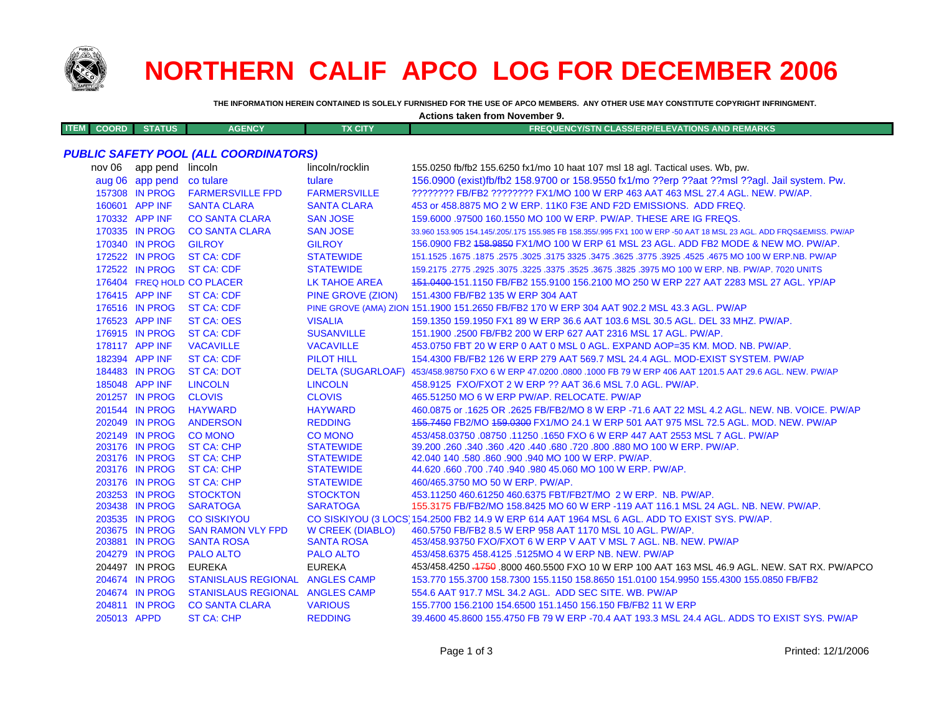

## **NORTHERN CALIF APCO LOG FOR DECEMBER 2006**

**THE INFORMATION HEREIN CONTAINED IS SOLELY FURNISHED FOR THE USE OF APCO MEMBERS. ANY OTHER USE MAY CONSTITUTE COPYRIGHT INFRINGMENT.**

**Actions taken from November 9.**

| TEM<br>I EM I | COORD | <b>TATUS</b> | <b>AGENCY</b> | TX CITY | <b>Y/STN CLASS/ERP/ELEVATIONS AND REMARKS</b><br><b>ARABIENCY/CH</b> |
|---------------|-------|--------------|---------------|---------|----------------------------------------------------------------------|
|               |       |              |               |         |                                                                      |

## *PUBLIC SAFETY POOL (ALL COORDINATORS)*

| nov 06      | app pend        | lincoln                         | lincoln/rocklin          | 155.0250 fb/fb2 155.6250 fx1/mo 10 haat 107 msl 18 agl. Tactical uses. Wb, pw.                                      |
|-------------|-----------------|---------------------------------|--------------------------|---------------------------------------------------------------------------------------------------------------------|
|             | aug 06 app pend | co tulare                       | tulare                   | 156.0900 (exist)fb/fb2 158.9700 or 158.9550 fx1/mo ??erp ??aat ??msl ??agl. Jail system. Pw.                        |
|             | 157308 IN PROG  | <b>FARMERSVILLE FPD</b>         | <b>FARMERSVILLE</b>      | ???????? FB/FB2 ???????? FX1/MO 100 W ERP 463 AAT 463 MSL 27.4 AGL. NEW. PW/AP.                                     |
|             | 160601 APP INF  | <b>SANTA CLARA</b>              | <b>SANTA CLARA</b>       | 453 or 458,8875 MO 2 W ERP, 11K0 F3E AND F2D EMISSIONS. ADD FREQ.                                                   |
|             | 170332 APP INF  | <b>CO SANTA CLARA</b>           | <b>SAN JOSE</b>          | 159,6000 .97500 160,1550 MO 100 W ERP, PW/AP, THESE ARE IG FREQS.                                                   |
|             | 170335 IN PROG  | <b>CO SANTA CLARA</b>           | <b>SAN JOSE</b>          | 33.960 153.905 154.145/.205/.175 155.985 FB 158.355/.995 FX1 100 W ERP -50 AAT 18 MSL 23 AGL. ADD FRQS&EMISS. PW/AP |
|             | 170340 IN PROG  | <b>GILROY</b>                   | <b>GILROY</b>            | 156.0900 FB2 458.9850 FX1/MO 100 W ERP 61 MSL 23 AGL. ADD FB2 MODE & NEW MO. PW/AP.                                 |
|             | 172522 IN PROG  | <b>ST CA: CDF</b>               | <b>STATEWIDE</b>         | 151.1525 .1675 NO 100 W ERP.NB. PW/AP .2575 .3025 .3175 3325 .3475 .3625 .3675 .3025 .1675 .1675 .1679 .1675 .      |
|             | 172522 IN PROG  | <b>ST CA: CDF</b>               | <b>STATEWIDE</b>         | 159,2175,2775,2925,3075,3225,3375,3525,3675,3825,3975 MO 100 W ERP, NB, PW/AP, 7020 UNITS                           |
|             |                 | 176404 FREQ HOLD CO PLACER      | LK TAHOE AREA            | 151.0400-151.1150 FB/FB2 155.9100 156.2100 MO 250 W ERP 227 AAT 2283 MSL 27 AGL. YP/AP                              |
|             | 176415 APP INF  | <b>ST CA: CDF</b>               | <b>PINE GROVE (ZION)</b> | 151.4300 FB/FB2 135 W ERP 304 AAT                                                                                   |
|             | 176516 IN PROG  | <b>ST CA: CDF</b>               |                          | PINE GROVE (AMA) ZION 151.1900 151.2650 FB/FB2 170 W ERP 304 AAT 902.2 MSL 43.3 AGL. PW/AP                          |
|             | 176523 APP INF  | <b>ST CA: OES</b>               | <b>VISALIA</b>           | 159.1350 159.1950 FX1 89 W ERP 36.6 AAT 103.6 MSL 30.5 AGL. DEL 33 MHZ. PW/AP.                                      |
|             | 176915 IN PROG  | <b>ST CA: CDF</b>               | <b>SUSANVILLE</b>        | 151.1900 .2500 FB/FB2 200 W ERP 627 AAT 2316 MSL 17 AGL, PW/AP.                                                     |
|             | 178117 APP INF  | <b>VACAVILLE</b>                | <b>VACAVILLE</b>         | 453.0750 FBT 20 W ERP 0 AAT 0 MSL 0 AGL. EXPAND AOP=35 KM, MOD, NB, PW/AP,                                          |
|             | 182394 APP INF  | <b>ST CA: CDF</b>               | <b>PILOT HILL</b>        | 154.4300 FB/FB2 126 W ERP 279 AAT 569.7 MSL 24.4 AGL. MOD-EXIST SYSTEM. PW/AP                                       |
|             | 184483 IN PROG  | <b>ST CA: DOT</b>               |                          | DELTA (SUGARLOAF) 453/458.98750 FXO 6 W ERP 47.0200 .0800 .1000 FB 79 W ERP 406 AAT 1201.5 AAT 29.6 AGL. NEW. PW/AP |
|             | 185048 APP INF  | <b>LINCOLN</b>                  | <b>LINCOLN</b>           | 458,9125 FXO/FXOT 2 W ERP ?? AAT 36.6 MSL 7.0 AGL, PW/AP.                                                           |
|             | 201257 IN PROG  | <b>CLOVIS</b>                   | <b>CLOVIS</b>            | 465.51250 MO 6 W ERP PW/AP, RELOCATE, PW/AP                                                                         |
|             | 201544 IN PROG  | <b>HAYWARD</b>                  | <b>HAYWARD</b>           | 460.0875 or .1625 OR .2625 FB/FB2/MO 8 W ERP -71.6 AAT 22 MSL 4.2 AGL. NEW. NB. VOICE. PW/AP                        |
|             | 202049 IN PROG  | <b>ANDERSON</b>                 | <b>REDDING</b>           | 155,7450 FB2/MO 159,0300 FX1/MO 24.1 W ERP 501 AAT 975 MSL 72.5 AGL, MOD, NEW, PW/AP                                |
|             | 202149 IN PROG  | <b>CO MONO</b>                  | <b>CO MONO</b>           | 453/458.03750 .08750 .11250 .1650 FXO 6 W ERP 447 AAT 2553 MSL 7 AGL, PW/AP                                         |
|             | 203176 IN PROG  | <b>ST CA: CHP</b>               | <b>STATEWIDE</b>         | 39.200 .260 .340 .360 .420 .440 .680 .720 .800 .880 MO 100 W ERP. PW/AP.                                            |
|             | 203176 IN PROG  | <b>ST CA: CHP</b>               | <b>STATEWIDE</b>         | 42.040 140 .580 .860 .900 .940 MO 100 W ERP. PW/AP.                                                                 |
|             | 203176 IN PROG  | <b>ST CA: CHP</b>               | <b>STATEWIDE</b>         | 44.620 .660 .700 .740 .940 .980 45.060 MO 100 W ERP. PW/AP.                                                         |
|             | 203176 IN PROG  | <b>ST CA: CHP</b>               | <b>STATEWIDE</b>         | 460/465.3750 MO 50 W ERP. PW/AP.                                                                                    |
|             | 203253 IN PROG  | <b>STOCKTON</b>                 | <b>STOCKTON</b>          | 453.11250 460.61250 460.6375 FBT/FB2T/MO 2 W ERP. NB, PW/AP.                                                        |
|             | 203438 IN PROG  | <b>SARATOGA</b>                 | <b>SARATOGA</b>          | 155.3175 FB/FB2/MO 158.8425 MO 60 W ERP -119 AAT 116.1 MSL 24 AGL. NB. NEW. PW/AP.                                  |
|             | 203535 IN PROG  | <b>CO SISKIYOU</b>              |                          | CO SISKIYOU (3 LOCS 154.2500 FB2 14.9 W ERP 614 AAT 1964 MSL 6 AGL. ADD TO EXIST SYS. PW/AP.                        |
|             | 203675 IN PROG  | <b>SAN RAMON VLY FPD</b>        | <b>W CREEK (DIABLO)</b>  | 460.5750 FB/FB2 8.5 W ERP 958 AAT 1170 MSL 10 AGL. PW/AP.                                                           |
|             | 203881 IN PROG  | <b>SANTA ROSA</b>               | <b>SANTA ROSA</b>        | 453/458.93750 FXO/FXOT 6 W ERP V AAT V MSL 7 AGL. NB. NEW. PW/AP                                                    |
|             | 204279 IN PROG  | <b>PALO ALTO</b>                | <b>PALO ALTO</b>         | 453/458.6375 458.4125 .5125MO 4 W ERP NB. NEW. PW/AP                                                                |
|             | 204497 IN PROG  | <b>EUREKA</b>                   | <b>EUREKA</b>            | 453/458.4250 .1759 .8000 460.5500 FXO 10 W ERP 100 AAT 163 MSL 46.9 AGL. NEW. SAT RX. PW/APCO                       |
|             | 204674 IN PROG  | STANISLAUS REGIONAL ANGLES CAMP |                          | 153.770 155.3700 158.7300 155.1150 158.8650 151.0100 154.9950 155.4300 155.0850 FB/FB2                              |
|             | 204674 IN PROG  | STANISLAUS REGIONAL ANGLES CAMP |                          | 554.6 AAT 917.7 MSL 34.2 AGL. ADD SEC SITE. WB. PW/AP                                                               |
|             | 204811 IN PROG  | <b>CO SANTA CLARA</b>           | <b>VARIOUS</b>           | 155.7700 156.2100 154.6500 151.1450 156.150 FB/FB2 11 W ERP                                                         |
| 205013 APPD |                 | <b>ST CA: CHP</b>               | <b>REDDING</b>           | 39.4600 45.8600 155.4750 FB 79 W ERP -70.4 AAT 193.3 MSL 24.4 AGL, ADDS TO EXIST SYS, PW/AP                         |
|             |                 |                                 |                          |                                                                                                                     |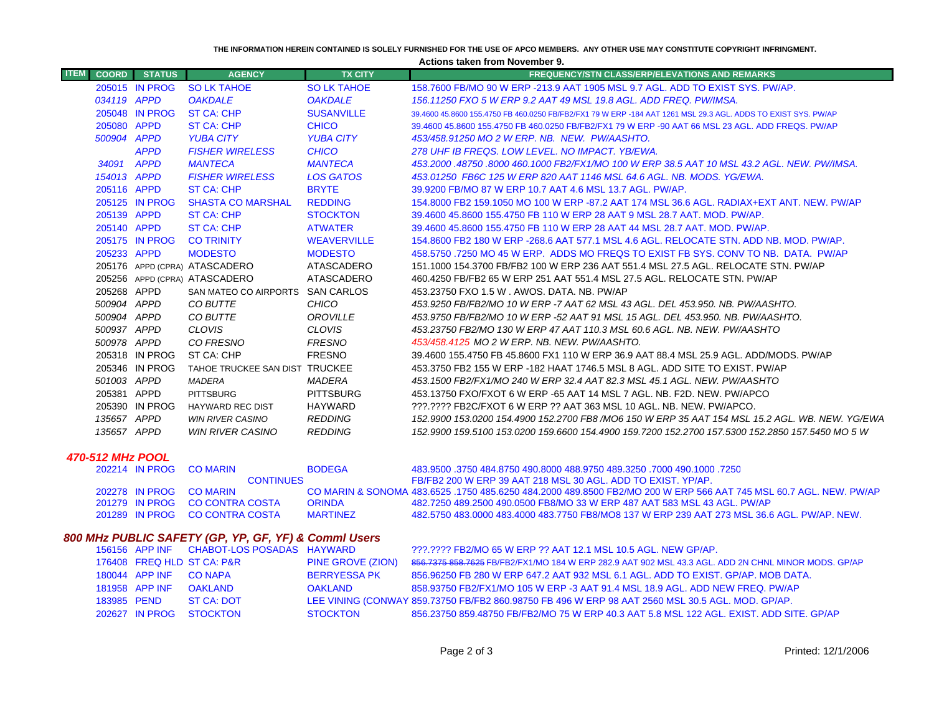**THE INFORMATION HEREIN CONTAINED IS SOLELY FURNISHED FOR THE USE OF APCO MEMBERS. ANY OTHER USE MAY CONSTITUTE COPYRIGHT INFRINGMENT.**

**Actions taken from November 9.**

| <b>ITEM</b><br><b>COORD</b> | <b>STATUS</b>  | <b>AGENCY</b>                    | <b>TX CITY</b>     | <b>FREQUENCY/STN CLASS/ERP/ELEVATIONS AND REMARKS</b>                                                         |
|-----------------------------|----------------|----------------------------------|--------------------|---------------------------------------------------------------------------------------------------------------|
|                             | 205015 IN PROG | <b>SO LK TAHOE</b>               | <b>SO LK TAHOE</b> | 158,7600 FB/MO 90 W ERP -213.9 AAT 1905 MSL 9.7 AGL, ADD TO EXIST SYS, PW/AP,                                 |
|                             | 034119 APPD    | <b>OAKDALE</b>                   | <b>OAKDALE</b>     | 156.11250 FXO 5 W ERP 9.2 AAT 49 MSL 19.8 AGL. ADD FREQ. PW/IMSA.                                             |
|                             | 205048 IN PROG | <b>ST CA: CHP</b>                | <b>SUSANVILLE</b>  | 39.4600 45.8600 155.4750 FB 460.0250 FB/FB2/FX1 79 W ERP -184 AAT 1261 MSL 29.3 AGL, ADDS TO EXIST SYS, PW/AP |
|                             | 205080 APPD    | <b>ST CA: CHP</b>                | <b>CHICO</b>       | 39.4600 45.8600 155.4750 FB 460.0250 FB/FB2/FX1 79 W ERP -90 AAT 66 MSL 23 AGL, ADD FREQS, PW/AP              |
|                             | 500904 APPD    | <b>YUBA CITY</b>                 | <b>YUBA CITY</b>   | 453/458.91250 MO 2 W ERP. NB. NEW. PW/AASHTO.                                                                 |
|                             | <b>APPD</b>    | <b>FISHER WIRELESS</b>           | <b>CHICO</b>       | 278 UHF IB FREQS, LOW LEVEL, NO IMPACT, YB/EWA,                                                               |
| 34091                       | <b>APPD</b>    | <b>MANTECA</b>                   | <b>MANTECA</b>     | 453.2000 .48750 .8000 460.1000 FB2/FX1/MO 100 W ERP 38.5 AAT 10 MSL 43.2 AGL. NEW. PW/IMSA.                   |
|                             | 154013 APPD    | <b>FISHER WIRELESS</b>           | <b>LOS GATOS</b>   | 453.01250 FB6C 125 W ERP 820 AAT 1146 MSL 64.6 AGL, NB, MODS, YG/EWA,                                         |
|                             | 205116 APPD    | <b>ST CA: CHP</b>                | <b>BRYTE</b>       | 39.9200 FB/MO 87 W ERP 10.7 AAT 4.6 MSL 13.7 AGL. PW/AP.                                                      |
|                             | 205125 IN PROG | <b>SHASTA CO MARSHAL</b>         | <b>REDDING</b>     | 154,8000 FB2 159,1050 MO 100 W ERP -87,2 AAT 174 MSL 36.6 AGL, RADIAX+EXT ANT, NEW, PW/AP                     |
|                             | 205139 APPD    | <b>ST CA: CHP</b>                | <b>STOCKTON</b>    | 39.4600 45.8600 155.4750 FB 110 W ERP 28 AAT 9 MSL 28.7 AAT, MOD, PW/AP,                                      |
|                             | 205140 APPD    | <b>ST CA: CHP</b>                | <b>ATWATER</b>     | 39.4600 45.8600 155.4750 FB 110 W ERP 28 AAT 44 MSL 28.7 AAT, MOD, PW/AP,                                     |
|                             | 205175 IN PROG | <b>CO TRINITY</b>                | <b>WEAVERVILLE</b> | 154,8600 FB2 180 W ERP -268.6 AAT 577.1 MSL 4.6 AGL, RELOCATE STN, ADD NB, MOD, PW/AP,                        |
|                             | 205233 APPD    | <b>MODESTO</b>                   | <b>MODESTO</b>     | 458,5750,7250 MO 45 W ERP. ADDS MO FREQS TO EXIST FB SYS, CONV TO NB. DATA. PW/AP                             |
|                             |                | 205176 APPD (CPRA) ATASCADERO    | ATASCADERO         | 151.1000 154.3700 FB/FB2 100 W ERP 236 AAT 551.4 MSL 27.5 AGL. RELOCATE STN. PW/AP                            |
|                             |                | 205256 APPD (CPRA) ATASCADERO    | ATASCADERO         | 460.4250 FB/FB2 65 W ERP 251 AAT 551.4 MSL 27.5 AGL. RELOCATE STN. PW/AP                                      |
|                             | 205268 APPD    | SAN MATEO CO AIRPORTS SAN CARLOS |                    | 453.23750 FXO 1.5 W . AWOS, DATA, NB, PW/AP                                                                   |
|                             | 500904 APPD    | CO BUTTE                         | <b>CHICO</b>       | 453.9250 FB/FB2/MO 10 W ERP -7 AAT 62 MSL 43 AGL. DEL 453.950. NB. PW/AASHTO.                                 |
|                             | 500904 APPD    | CO BUTTE                         | OROVILLE           | 453.9750 FB/FB2/MO 10 W ERP -52 AAT 91 MSL 15 AGL. DEL 453.950. NB. PW/AASHTO.                                |
|                             | 500937 APPD    | <b>CLOVIS</b>                    | <b>CLOVIS</b>      | 453.23750 FB2/MO 130 W ERP 47 AAT 110.3 MSL 60.6 AGL. NB. NEW. PW/AASHTO                                      |
|                             | 500978 APPD    | CO FRESNO                        | <b>FRESNO</b>      | 453/458.4125 MO 2 W ERP. NB. NEW. PW/AASHTO.                                                                  |
|                             | 205318 IN PROG | ST CA: CHP                       | <b>FRESNO</b>      | 39.4600 155.4750 FB 45.8600 FX1 110 W ERP 36.9 AAT 88.4 MSL 25.9 AGL, ADD/MODS, PW/AP                         |
|                             | 205346 IN PROG | TAHOE TRUCKEE SAN DIST TRUCKEE   |                    | 453.3750 FB2 155 W ERP -182 HAAT 1746.5 MSL 8 AGL. ADD SITE TO EXIST. PW/AP                                   |
|                             | 501003 APPD    | <b>MADERA</b>                    | <b>MADERA</b>      | 453.1500 FB2/FX1/MO 240 W ERP 32.4 AAT 82.3 MSL 45.1 AGL. NEW. PW/AASHTO                                      |
|                             | 205381 APPD    | <b>PITTSBURG</b>                 | <b>PITTSBURG</b>   | 453.13750 FXO/FXOT 6 W ERP -65 AAT 14 MSL 7 AGL. NB. F2D. NEW. PW/APCO                                        |
|                             | 205390 IN PROG | <b>HAYWARD REC DIST</b>          | HAYWARD            | 222.2222 FB2C/FXOT 6 W ERP 22 AAT 363 MSL 10 AGL, NB, NEW, PW/APCO,                                           |
|                             | 135657 APPD    | <b>WIN RIVER CASINO</b>          | <b>REDDING</b>     | 152,9900 153,0200 154,4900 152,2700 FB8 /MO6 150 W ERP 35 AAT 154 MSL 15.2 AGL, WB, NEW, YG/EWA               |
|                             | 135657 APPD    | <b>WIN RIVER CASINO</b>          | <b>REDDING</b>     | 152,9900 159,5100 153,0200 159,6600 154,4900 159,7200 152,2700 157,5300 152,2850 157,5450 MO 5 W              |
|                             |                |                                  |                    |                                                                                                               |

## *470-512 MHz POOL*

| 202214 IN PROG CO MARIN |                                | <b>BODEGA</b>   | 483.9500 .3750 484.8750 490.8000 488.9750 489.3250 .7000 490.1000 .7250                                           |
|-------------------------|--------------------------------|-----------------|-------------------------------------------------------------------------------------------------------------------|
|                         | <b>CONTINUES</b>               |                 | FB/FB2 200 W ERP 39 AAT 218 MSL 30 AGL. ADD TO EXIST. YP/AP.                                                      |
| 202278 IN PROG CO MARIN |                                |                 | CO MARIN & SONOMA 483.6525, 1750 485.6250 484.2000 489.8500 FB2/MO 200 W FRP 566 AAT 745 MSL 60.7 AGL, NEW, PW/AP |
|                         | 201279 IN PROG CO CONTRA COSTA | ORINDA          | 482.7250 489.2500 490.0500 FB8/MO 33 W ERP 487 AAT 583 MSL 43 AGL. PW/AP                                          |
|                         | 201289 IN PROG CO CONTRA COSTA | <b>MARTINFZ</b> | 482,5750,483,0000,483,4000,483,7750,FB8/MO8,137 W FRP 239 AAT 273 MSL 36.6 AGL, PW/AP, NEW                        |

## *800 MHz PUBLIC SAFETY (GP, YP, GF, YF) & Comml Users*

|  |                        | 156156 APP INF CHABOT-LOS POSADAS HAYWARD |                          | 222.2222 FB2/MO 65 W ERP 22 AAT 12.1 MSL 10.5 AGL. NEW GP/AP.                                       |
|--|------------------------|-------------------------------------------|--------------------------|-----------------------------------------------------------------------------------------------------|
|  |                        | 176408 FREQ HLD ST CA: P&R                | <b>PINE GROVE (ZION)</b> | 856.7375 858.7625 FB/FB2/FX1/MO 184 W ERP 282.9 AAT 902 MSL 43.3 AGL. ADD 2N CHNL MINOR MODS. GP/AP |
|  | 180044 APP INF CO NAPA |                                           | <b>BERRYESSA PK</b>      | 856,96250 FB 280 W ERP 647.2 AAT 932 MSL 6.1 AGL, ADD TO EXIST, GP/AP, MOB DATA,                    |
|  | 181958 APP INF         | OAKI AND                                  | OAKLAND                  | 858.93750 FB2/FX1/MO 105 W ERP -3 AAT 91.4 MSL 18.9 AGL, ADD NEW FREQ, PW/AP                        |
|  | 183985 PEND            | ST CA: DOT                                |                          | LEE VINING (CONWAY 859.73750 FB/FB2 860.98750 FB 496 W ERP 98 AAT 2560 MSL 30.5 AGL. MOD. GP/AP.    |
|  |                        | 202627 IN PROG STOCKTON                   | <b>STOCKTON</b>          | 856.23750 859.48750 FB/FB2/MO 75 W ERP 40.3 AAT 5.8 MSL 122 AGL, EXIST, ADD SITE, GP/AP             |